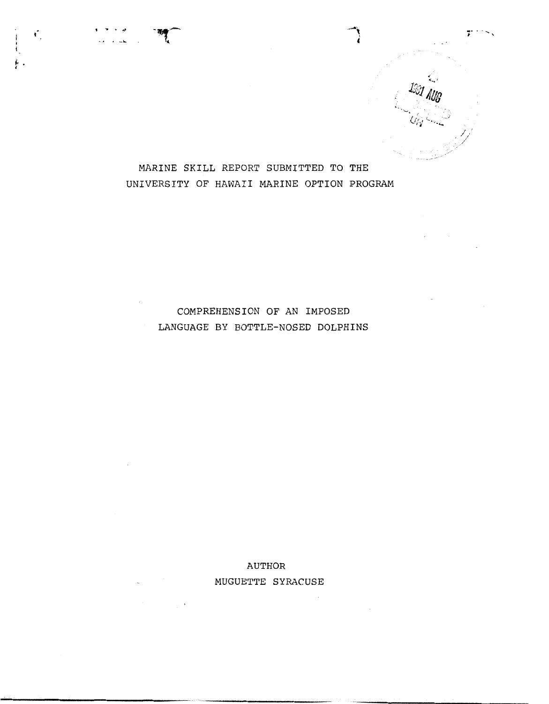**MARINE SKILL REPORT SUBMITTED TO THE UNIVERSITY OF HAWAII MARINE OPTION PROGRAM** 

 $\mathbf{f}_1$ 

## **COMPREHENSION OF AN IMPOSED LANGUAGE BY BOTTLE-NOSED DOLPHINS**

## **AUTHOR MUGUETTE SYRACUSE**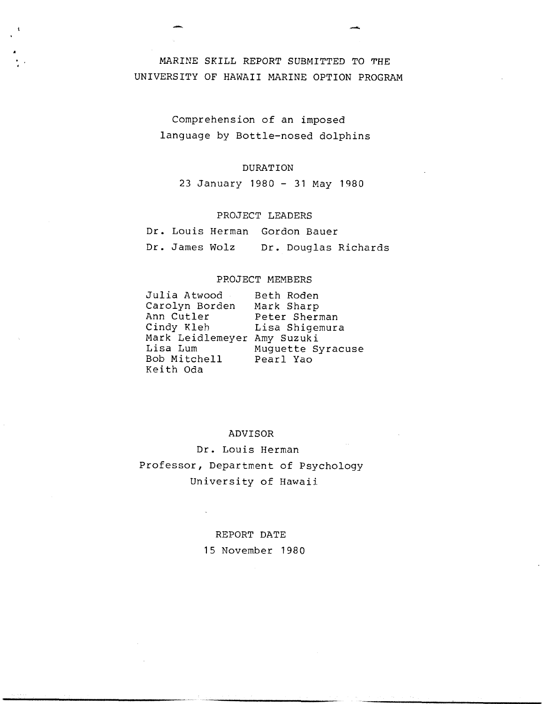## MARINE SKILL REPORT SUBMITTED TO THE UNIVERSITY OF HAWAII MARINE OPTION PROGRAM

# Comprehension of an imposed language by Bottle-nosed dolphins

### DURATION

23 January 1980 - 31 May <sup>1980</sup>

## PROJECT LEADERS

Dr. Louis Herman Gordon Bauer Dr. James Wolz Dr. Douglas Richards

#### PROJECT MEMBERS

| Julia Atwood                | Beth Roden        |
|-----------------------------|-------------------|
| Carolyn Borden              | Mark Sharp        |
| Ann Cutler                  | Peter Sherman     |
| Cindy Kleh                  | Lisa Shigemura    |
| Mark Leidlemeyer Amy Suzuki |                   |
| Lisa Lum                    | Muguette Syracuse |
| Bob Mitchell                | Pearl Yao         |
| Keith Oda                   |                   |

#### ADVISOR

Dr. Louis Herman Professor, Department of Psychology University of Hawaii

> REPORT DATE 15 November 1980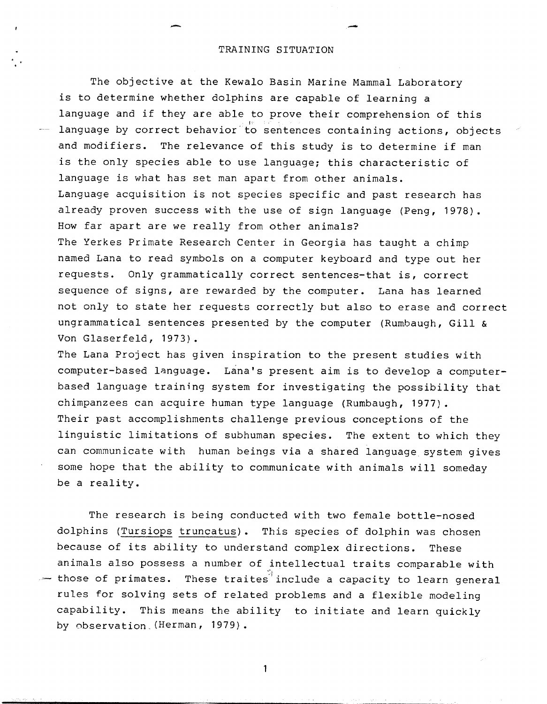#### TRAINING SITUATION

The objective at the Kewalo Basin Marine Mammal Laboratory is to determine whether dolphins are capable of learning a language and if they are able to prove their comprehension of this language by correct behavior to sentences containing actions, objects and modifiers. The relevance of this study is to determine if man is the only species able to use language; this characteristic of language is what has set man apart from other animals. Language acquisition is not species specific and past research has already proven success with the use of sign language (Peng, 1978) . How far apart are we really from other animals? The Yerkes Primate Research Center in Georgia has taught a chimp named Lana to read symbols on a computer keyboard and type out her requests. Only grammatically correct sentences-that is, correct sequence of signs, are rewarded by the computer. Lana has learned not only to state her requests correctly but also to erase and correct ungrammatical sentences presented by the computer (Rumbaugh, Gill & Von Glaserfeld, 1973).

The Lana Project has given inspiration to the present studies with computer-based language. Lana's present aim is to develop a computerbased language training system for investigating the possibility that chimpanzees can acquire human type language (Rumbaugh, 1977). Their past accomplishments challenge previous conceptions of the linguistic limitations of subhuman species. The extent to which they can communicate with human beings via a shared language system gives some hope that the ability to communicate with animals will someday be a reality.

The research is being conducted with two female bottle-nosed dolphins (Tursiops truncatus). This species of dolphin was chosen<br>because of its ability to understand complex directions. These because of its ability to understand complex directions. animals also possess a number of intellectual traits comparable with  $-$  those of primates. These traites include a capacity to learn general rules for solving sets of related problems and a flexible modeling capability. This means the ability to initiate and learn quickly by observation (Herman, 1979).

 $\mathbf{1}$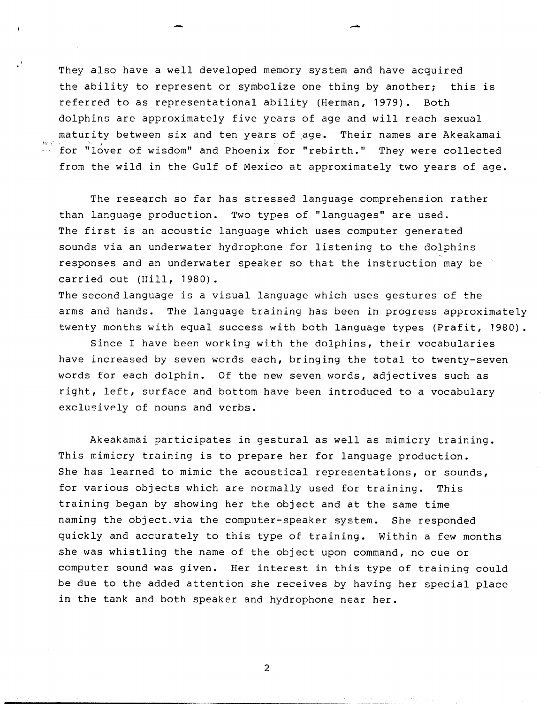They also have a well developed memory system and have acquired the ability to represent or symbolize one thing by another; this is referred to as representational ability (Herman, 1979). Both dolphins are approximately five years of age and will reach sexual maturity between six and ten years of age. Their names are Akeakamai for "lover of wisdom" and Phoenix for "rebirth." They were collected from the wild in the Gulf of Mexico at approximately two years of age.

The research so far has stressed language comprehension rather than language production. Two types of "languages" are used. The first is an acoustic language which uses computer generated sounds via an underwater hydrophone for listening to the dolphins responses and an underwater speaker so that the instruction may be carried out (Hill, 1980).<br>The second language is a visual language which uses gestures of the

arms and hands. The language training has been in progress approximately twenty months with equal success with both language types (Prafit, 1980).

Since I have been working with the dolphins, their vocabularies have increased by seven words each, bringing the total to twenty-seven words for each dolphin. Of the new seven words, adjectives such as right, left, surface and bottom have been introduced to a vocabulary exclusively of nouns and verbs.

Akeakamai participates in gestural as well as mimicry training. This mimicry training is to prepare her for language production. She has learned to mimic the acoustical representations, or sounds, for various objects which are normally used for training. This training began by showing her the object and at the same time naming the object-via the computer-speaker system. She responded quickly and accurately to this type of training. Within a few months she was whistling the name of the object upon command, no cue or computer sound was given. Her interest in this type of training could be due to the added attention she receives by having her special place in the tank and both speaker and hydrophone near her.

 $\overline{2}$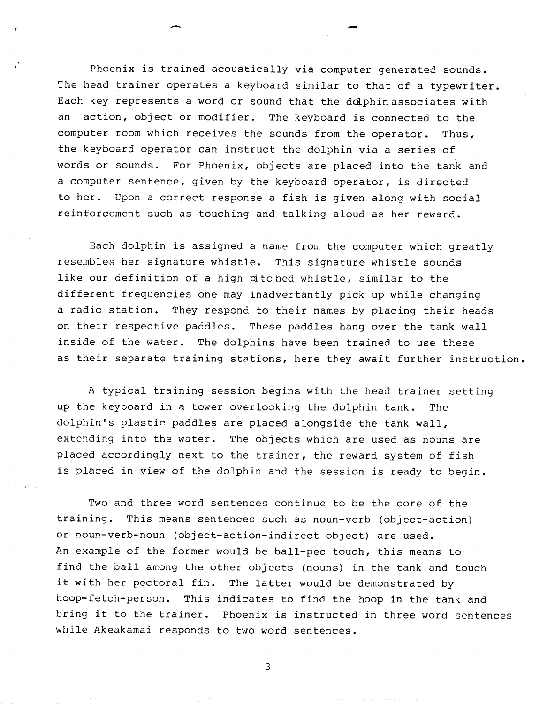Phoenix is trained acoustically via computer generated sounds. The head trainer operates a keyboard similar to that of a typewriter. Each key represents a word or sound that the ddphinassociates with an action, object or modifier. The keyboard is connected to the computer room which receives the sounds from the operator. Thus, the keyboard operator can instruct the dolphin via a series of words or sounds. For Phoenix, objects are placed into the tank and a computer sentence, given by the keyboard operator, is directed to her. Upon a correct response a fish is given along with social reinforcement such as touching and talking aloud as her reward.

Each dolphin is assigned a name from the computer which greatly resembles her signature whistle. This signature whistle sounds like our definition of a high pitched whistle, similar to the different frequencies one may inadvertantly pick up while changing a radio station. They respond to their names by placing their heads on their respective paddles. These paddles hang over the tank wall inside of the water. The dolphins have been trained to use these as their separate training stations, here they await further instruction.

A typical training session begins with the head trainer setting up the keyboard in a tower overlosking the dolphin tank. The dolphin's plastic paddles are placed alongside the tank wall, extending into the water. The objects which are used as nouns are placed accordingly next to the trainer, the reward system of fish is placed in view of the dolphin and the session is ready to begin.

Two and three word sentences continue to be the core of the training. This means sentences such as noun-verb (object-action) or noun-verb-noun (object-action-indirect object) are used. An example of the former would be ball-pec touch, this means to find the ball among the other objects (nouns) in the tank and touch it with her pectoral fin. The latter would be demonstrated by hoop-fetch-person. This indicates to find the hoop in the tank and bring it to the trainer. Phoenix is instructed in three word sentences while Akeakamai responds to two word sentences.

 $\overline{3}$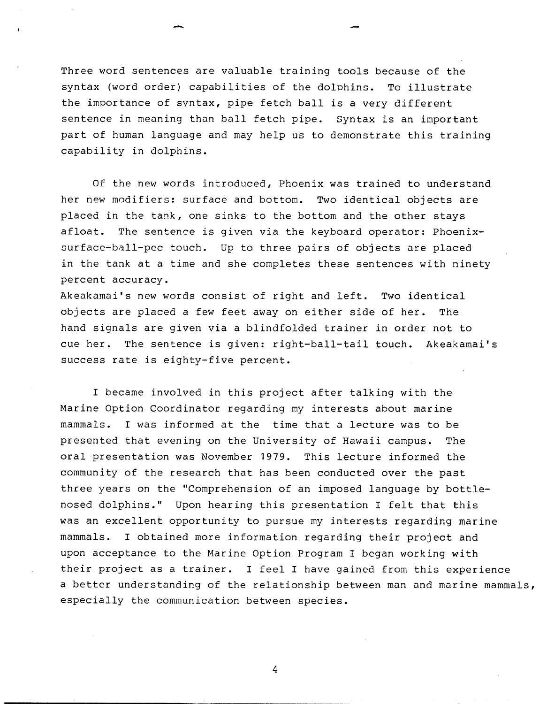Three word sentences are valuable training tools because of the syntax (word order) capabilities of the dolphins. To illustrate the importance of syntax, pipe fetch ball is a very different sentence in meaning than ball fetch pipe. Syntax is an important part of human language and may help us to demonstrate this training capability in dolphins.

Of the new words introduced, Phoenix was trained to understand her new modifiers: surface and bottom. Two identical objects are placed in the tank, one sinks to the bottom and the other stays afloat. The sentence is given via the keyboard operator: Phoenixsurface-ball-pec touch. Up to three pairs of objects are placed in the tank at a time and she completes these sentences with ninety percent accuracy.

Akeakamai's ncw words consist of right and left. Two identical objects are placed a few feet away on either side of her. The hand signals are given via a blindfolded trainer in order not to cue her. The sentence is given: right-ball-tail touch. Akeakamai's success rate is eighty-five percent.

I became involved in this project after talking with the Marine Option Coordinator regarding my interests about marine mammals. I was informed at the time that a lecture was to be presented that evening on the University of Hawaii campus. The oral presentation was November 1979. This lecture informed the community of the research that has been conducted over the past three years on the "Comprehension of an imposed language by bottlenosed dolphins." Upon hearing this presentation I felt that this was an excellent opportunity to pursue my interests regarding marine mammals. I obtained more information regarding their project and upon acceptance to the Marine Option Program I began working with their project as a trainer. I feel I have gained from this experience a better understanding of the relationship between man and marine mammals, especially the communication between species.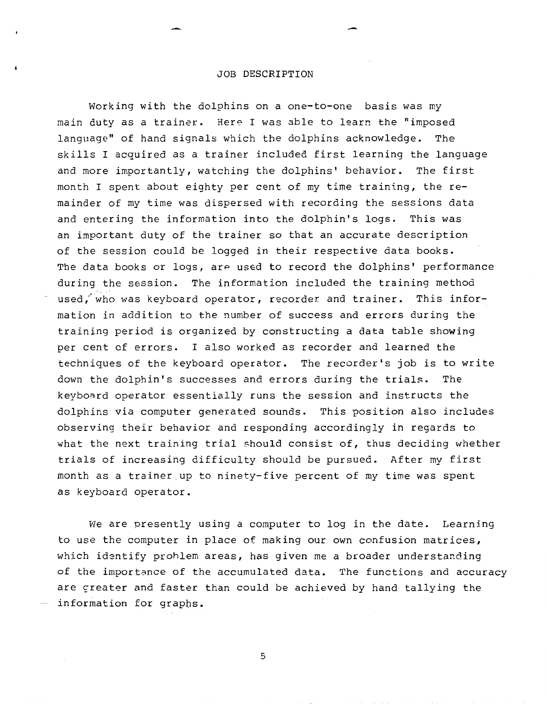### JOB DESCRIPTION

Working with the dolphins on a one-to-one basis was my main duty as a trainer. Here I was able to learn the "imposed language" of hand signals which the dolphins acknowledge. The skills I acquired as a trainer included first learning the language and more importantly, watching the dolphins' behavior. The first month I spent about eighty per cent of my time training, the remainder of my time was dispersed with recording the sessions data and entering the information into the dolphin's logs. This was an important duty of the trainer so that an accurate description of the session could be logged in their respective data books. The data books or logs, are used to record the dolphins' performance during the session. The information included the training method used, who was keyboard operator, recorder and trainer. This information in addition to the number of success and errors during the training period is organized by constructing a data table showing per cent of errors. I also worked as recorder and learned the techniques of the keyboard operator. The recorder's job is to write down the dolphin's successes and errors during the trials. The keyboard operator essentially runs the session and instructs the dolphins via computer generated sounds. This position also includes observing their behavior and responding accordingly in regards to what the next training trial should consist of, thus deciding whether trials of increasing difficulty should be pursued. After my first month as a trainer up to ninety-five percent of my time was spent as keyboard operator.

We are presently using a computer to log in the date. Learning to use the computer in place of making our own confusion matrices, which identify problem areas, has given me a broader understanding of **the** importance of the accumulated data. The functions and accuracy are greater and faster than could be achieved by hand tallying the information for graphs.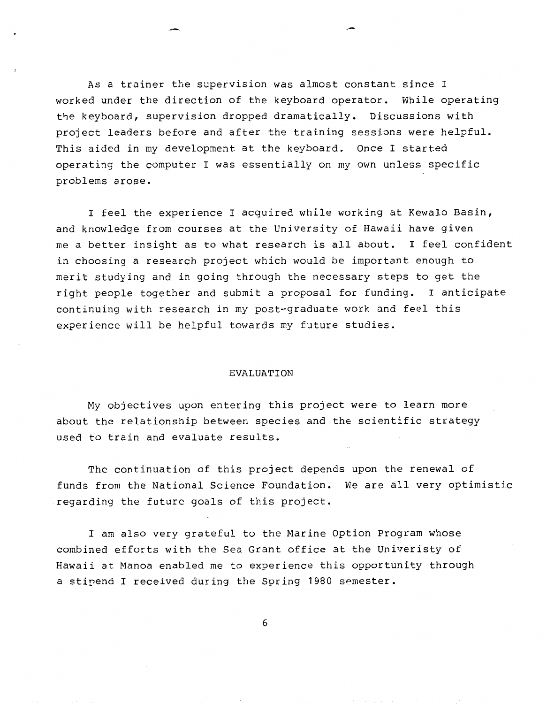As a trainer the supervision was almost constant since I worked under the direction of the keyboard operator. While operating the keyboard, supervision dropped dramatically. Discussions with project leaders before and after the training sessions were helpful. This aided in my development at the keyboard. Once I started operating the computer I was essentially on my own unless specific problems arose.

I feel the experience I acquired while working at Kewalo Basin, and knowledge from courses at the University of Hawaii have given me a better insight as to what research is all about. I feel confident in choosing a research project which would be important enough to merit studying and in going through the necessary steps to get the right people together and submit a proposal for funding. I anticipate continuing with research in my post-graduate work and feel this experience will be helpful towards my future studies.

#### EVALUATION

My objectives upon entering this project were to learn more about the relationship between species and the scientific strategy used to train and evaluate results.

The continuation of this project depends upon the renewal of funds from the National Science Foundation. We are all very optimistic regarding the future goals of this project.

I am also very grateful to the Marine Option Program whose combined efforts with the Sea Grant office at the Univeristy of Hawaii at Manoa enabled me to experience this opportunity through a stipend I received during the Spring 1980 semester.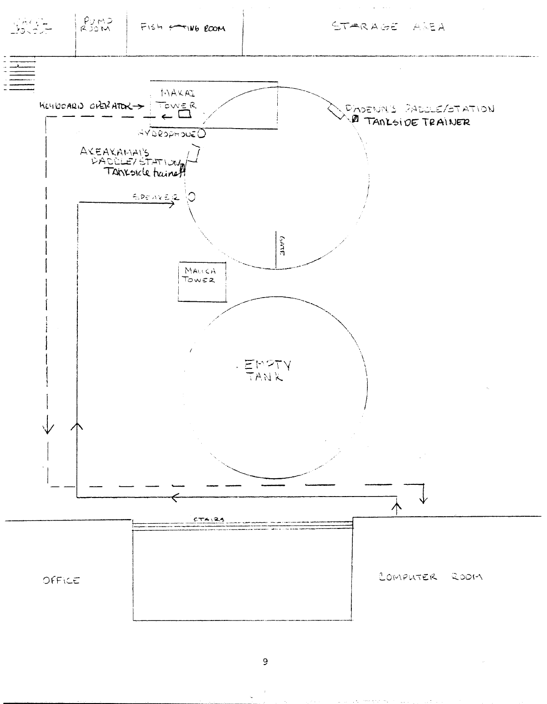

9

and the new models are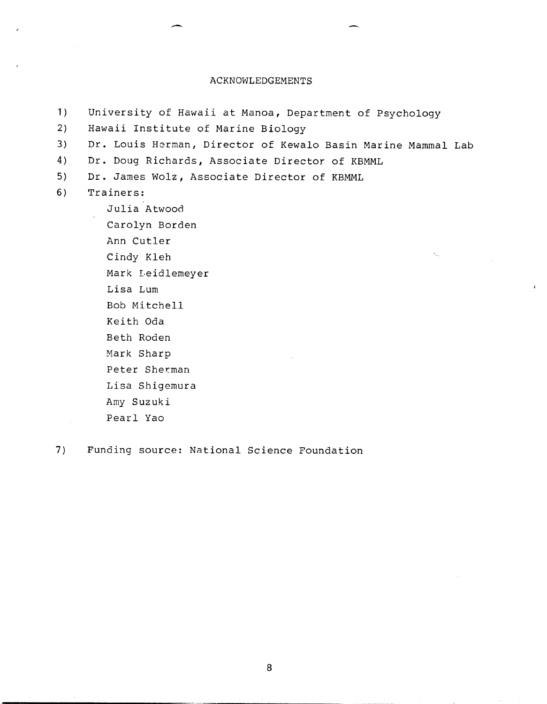### ACKNOWLEDGEMENTS

- 1) University of Hawaii at Manoa, Department of Psychology
- 2) Hawaii Institute of Marine Biology
- **3)** Dr. Louis Hzrman, Director of Kewalo Basin Marine Mammal Lab
- 4) Dr. Doug Richards, Associate Director of KBMML
- 5) Dr. James Wolz, Associate Director of KBMML

6) Trainers:

Julia Atwood

Carolyn Borden

Ann Cutler

Cindy Kleh

Mark Leidlemeyer

Lisa Lum

Bob Mitchell

Keith Oda

Beth Roden

Mark Sharp

Peter Sherman

Lisa Shigemura

Amy Suzuki

Pearl Yao

**7)** Funding source: National Science Foundation